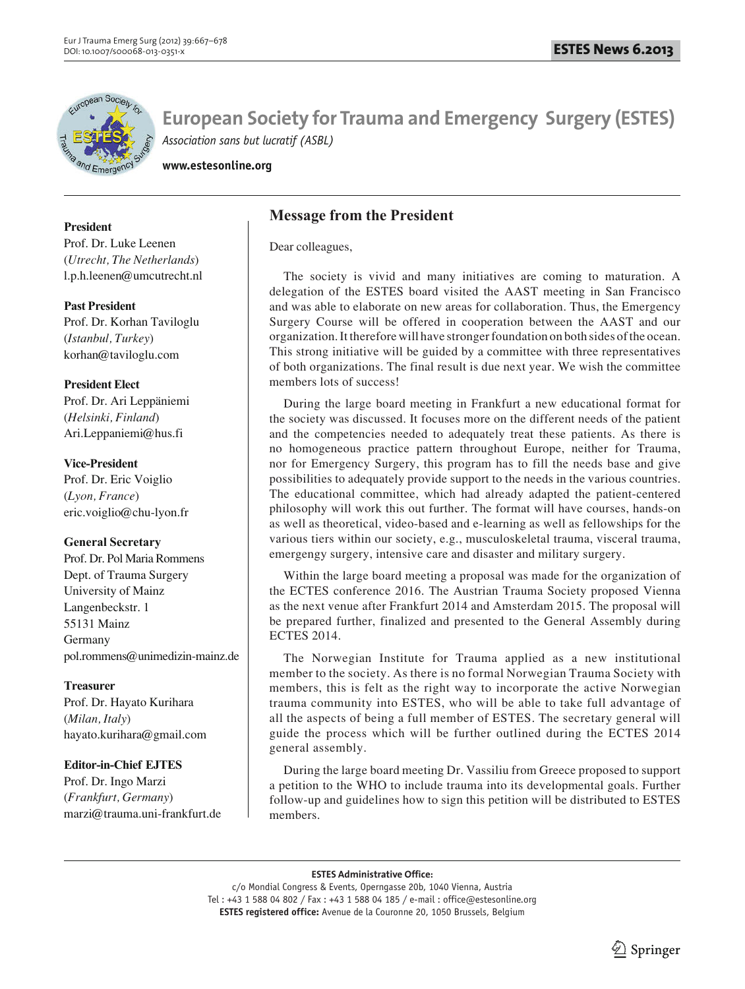

**www.estesonline.org**

### **President**

Prof. Dr. Luke Leenen (*Utrecht, The Netherlands*) l.p.h.leenen@umcutrecht.nl

#### **Past President**

Prof. Dr. Korhan Taviloglu (*Istanbul, Turkey*) korhan@taviloglu.com

#### **President Elect**

Prof. Dr. Ari Leppäniemi (*Helsinki, Finland*) Ari.Leppaniemi@hus.fi

#### **Vice-President**

Prof. Dr. Eric Voiglio (*Lyon, France*) eric.voiglio@chu-lyon.fr

## **General Secretary**

Prof. Dr. Pol Maria Rommens Dept. of Trauma Surgery University of Mainz Langenbeckstr. 1 55131 Mainz Germany pol.rommens@unimedizin-mainz.de

## **Treasurer**

Prof. Dr. Hayato Kurihara (*Milan, Italy*) hayato.kurihara@gmail.com

## **Editor-in-Chief EJTES**

Prof. Dr. Ingo Marzi (*Frankfurt, Germany*) marzi@trauma.uni-frankfurt.de

# **Message from the President**

Dear colleagues,

The society is vivid and many initiatives are coming to maturation. A delegation of the ESTES board visited the AAST meeting in San Francisco and was able to elaborate on new areas for collaboration. Thus, the Emergency Surgery Course will be offered in cooperation between the AAST and our organization. It therefore will have stronger foundation on both sides of the ocean. This strong initiative will be guided by a committee with three representatives of both organizations. The final result is due next year. We wish the committee members lots of success!

During the large board meeting in Frankfurt a new educational format for the society was discussed. It focuses more on the different needs of the patient and the competencies needed to adequately treat these patients. As there is no homogeneous practice pattern throughout Europe, neither for Trauma, nor for Emergency Surgery, this program has to fill the needs base and give possibilities to adequately provide support to the needs in the various countries. The educational committee, which had already adapted the patient-centered philosophy will work this out further. The format will have courses, hands-on as well as theoretical, video-based and e-learning as well as fellowships for the various tiers within our society, e.g., musculoskeletal trauma, visceral trauma, emergengy surgery, intensive care and disaster and military surgery.

Within the large board meeting a proposal was made for the organization of the ECTES conference 2016. The Austrian Trauma Society proposed Vienna as the next venue after Frankfurt 2014 and Amsterdam 2015. The proposal will be prepared further, finalized and presented to the General Assembly during ECTES 2014.

The Norwegian Institute for Trauma applied as a new institutional member to the society. As there is no formal Norwegian Trauma Society with members, this is felt as the right way to incorporate the active Norwegian trauma community into ESTES, who will be able to take full advantage of all the aspects of being a full member of ESTES. The secretary general will guide the process which will be further outlined during the ECTES 2014 general assembly.

During the large board meeting Dr. Vassiliu from Greece proposed to support a petition to the WHO to include trauma into its developmental goals. Further follow-up and guidelines how to sign this petition will be distributed to ESTES members.

#### **ESTES Administrative Office:**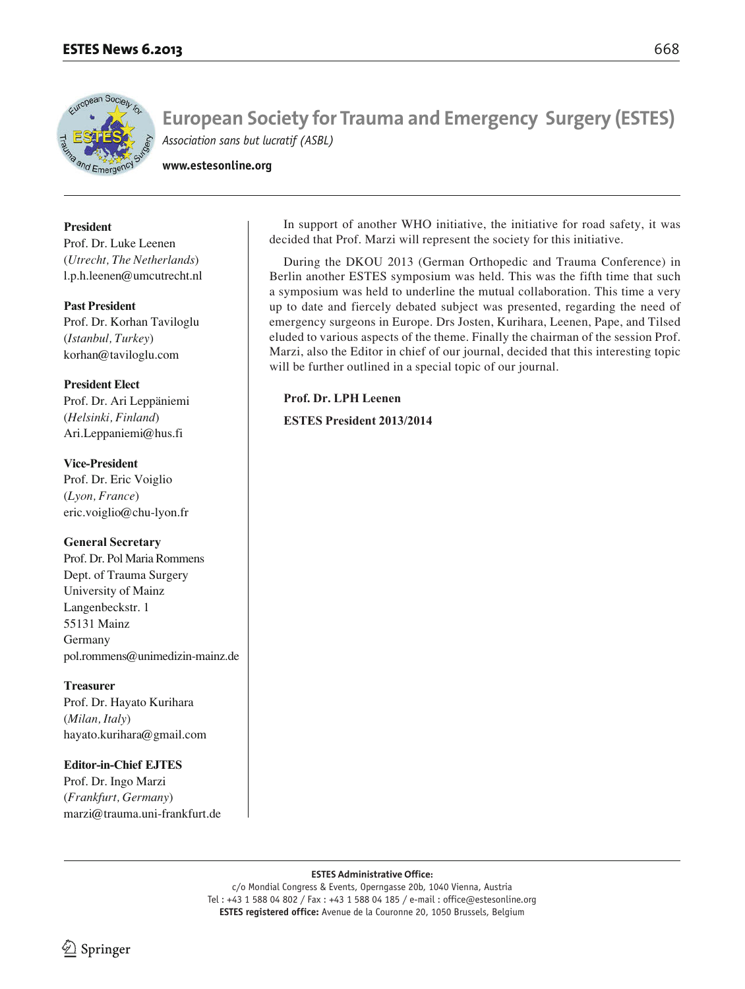

**www.estesonline.org**

#### **President**

Prof. Dr. Luke Leenen (*Utrecht, The Netherlands*) l.p.h.leenen@umcutrecht.nl

#### **Past President**

Prof. Dr. Korhan Taviloglu (*Istanbul, Turkey*) korhan@taviloglu.com

#### **President Elect**

Prof. Dr. Ari Leppäniemi (*Helsinki, Finland*) Ari.Leppaniemi@hus.fi

#### **Vice-President**

Prof. Dr. Eric Voiglio (*Lyon, France*) eric.voiglio@chu-lyon.fr

#### **General Secretary**

Prof. Dr. Pol Maria Rommens Dept. of Trauma Surgery University of Mainz Langenbeckstr. 1 55131 Mainz Germany pol.rommens@unimedizin-mainz.de

#### **Treasurer**

Prof. Dr. Hayato Kurihara (*Milan, Italy*) hayato.kurihara@gmail.com

#### **Editor-in-Chief EJTES**

Prof. Dr. Ingo Marzi (*Frankfurt, Germany*) marzi@trauma.uni-frankfurt.de

In support of another WHO initiative, the initiative for road safety, it was decided that Prof. Marzi will represent the society for this initiative.

During the DKOU 2013 (German Orthopedic and Trauma Conference) in Berlin another ESTES symposium was held. This was the fifth time that such a symposium was held to underline the mutual collaboration. This time a very up to date and fiercely debated subject was presented, regarding the need of emergency surgeons in Europe. Drs Josten, Kurihara, Leenen, Pape, and Tilsed eluded to various aspects of the theme. Finally the chairman of the session Prof. Marzi, also the Editor in chief of our journal, decided that this interesting topic will be further outlined in a special topic of our journal.

#### **Prof. Dr. LPH Leenen**

#### **ESTES President 2013/2014**

#### **ESTES Administrative Office:**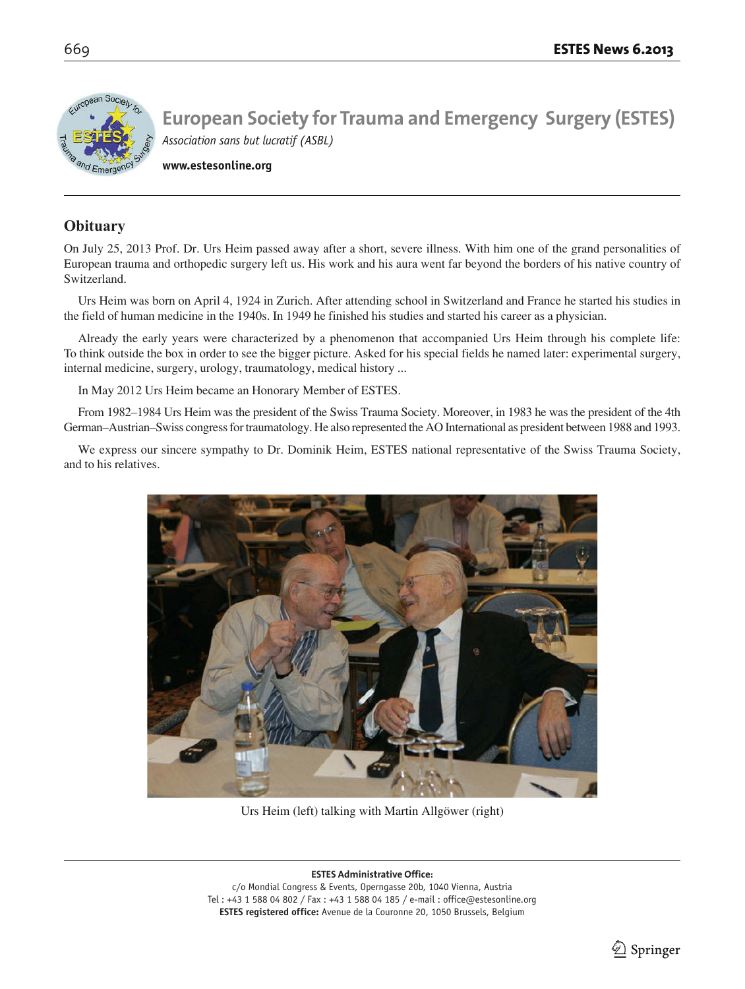

**www.estesonline.org**

## **Obituary**

On July 25, 2013 Prof. Dr. Urs Heim passed away after a short, severe illness. With him one of the grand personalities of European trauma and orthopedic surgery left us. His work and his aura went far beyond the borders of his native country of Switzerland.

Urs Heim was born on April 4, 1924 in Zurich. After attending school in Switzerland and France he started his studies in the field of human medicine in the 1940s. In 1949 he finished his studies and started his career as a physician.

Already the early years were characterized by a phenomenon that accompanied Urs Heim through his complete life: To think outside the box in order to see the bigger picture. Asked for his special fields he named later: experimental surgery, internal medicine, surgery, urology, traumatology, medical history ...

In May 2012 Urs Heim became an Honorary Member of ESTES.

From 1982–1984 Urs Heim was the president of the Swiss Trauma Society. Moreover, in 1983 he was the president of the 4th German–Austrian–Swiss congress for traumatology. He also represented the AO International as president between 1988 and 1993.

We express our sincere sympathy to Dr. Dominik Heim, ESTES national representative of the Swiss Trauma Society, and to his relatives.



Urs Heim (left) talking with Martin Allgöwer (right)

**ESTES Administrative Office:**

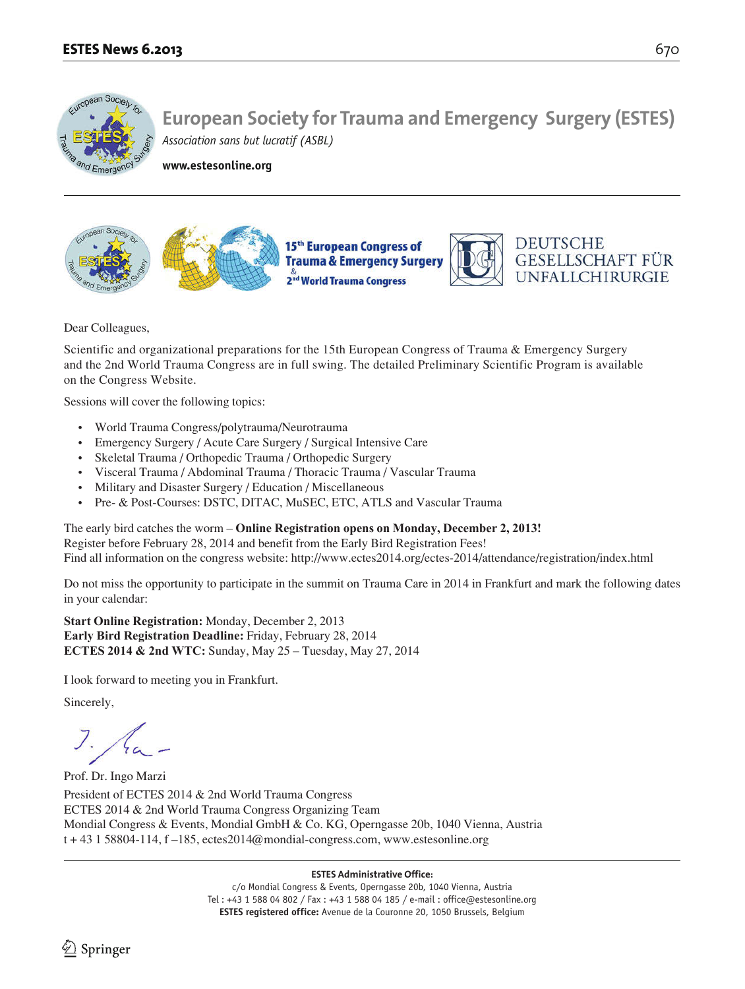

**www.estesonline.org**





15<sup>th</sup> European Congress of **Trauma & Emergency Surgery** 2<sup>8</sup><br>2<sup>nd</sup> World Trauma Congress



**DEUTSCHE GESELLSCHAFT FÜR** UNFALLCHIRURGIE

Dear Colleagues,

 Scientific and organizational preparations for the 15th European Congress of Trauma & Emergency Surgery and the 2nd World Trauma Congress are in full swing. The detailed Preliminary Scientific Program is available on the Congress Website.

Sessions will cover the following topics:

- World Trauma Congress/polytrauma/Neurotrauma
- Emergency Surgery / Acute Care Surgery / Surgical Intensive Care
- Skeletal Trauma / Orthopedic Trauma / Orthopedic Surgery
- Visceral Trauma / Abdominal Trauma / Thoracic Trauma / Vascular Trauma
- Military and Disaster Surgery / Education / Miscellaneous
- Pre- & Post-Courses: DSTC, DITAC, MuSEC, ETC, ATLS and Vascular Trauma

The early bird catches the worm – **Online Registration opens on Monday, December 2, 2013!** Register before February 28, 2014 and benefit from the Early Bird Registration Fees! Find all information on the congress website: http://www.ectes2014.org/ectes-2014/attendance/registration/index.html

Do not miss the opportunity to participate in the summit on Trauma Care in 2014 in Frankfurt and mark the following dates in your calendar:

**Start Online Registration:** Monday, December 2, 2013 **Early Bird Registration Deadline:** Friday, February 28, 2014 **ECTES 2014 & 2nd WTC:** Sunday, May 25 – Tuesday, May 27, 2014

I look forward to meeting you in Frankfurt.

Sincerely,

 $7. / 4a -$ 

Prof. Dr. Ingo Marzi President of ECTES 2014 & 2nd World Trauma Congress ECTES 2014 & 2nd World Trauma Congress Organizing Team Mondial Congress & Events, Mondial GmbH & Co. KG, Operngasse 20b, 1040 Vienna, Austria t + 43 1 58804-114, f –185, ectes2014@mondial-congress.com, www.estesonline.org

**ESTES Administrative Office:**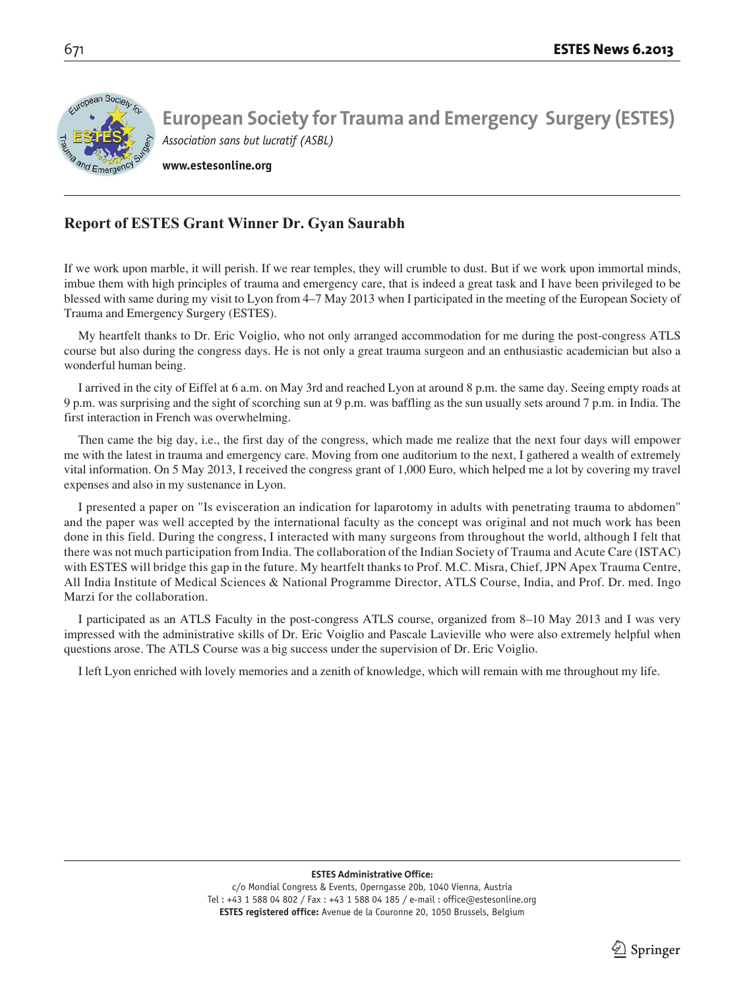

**www.estesonline.org**

# **Report of ESTES Grant Winner Dr. Gyan Saurabh**

If we work upon marble, it will perish. If we rear temples, they will crumble to dust. But if we work upon immortal minds, imbue them with high principles of trauma and emergency care, that is indeed a great task and I have been privileged to be blessed with same during my visit to Lyon from 4–7 May 2013 when I participated in the meeting of the European Society of Trauma and Emergency Surgery (ESTES).

My heartfelt thanks to Dr. Eric Voiglio, who not only arranged accommodation for me during the post-congress ATLS course but also during the congress days. He is not only a great trauma surgeon and an enthusiastic academician but also a wonderful human being.

I arrived in the city of Eiffel at 6 a.m. on May 3rd and reached Lyon at around 8 p.m. the same day. Seeing empty roads at 9 p.m. was surprising and the sight of scorching sun at 9 p.m. was baffling as the sun usually sets around 7 p.m. in India. The first interaction in French was overwhelming.

Then came the big day, i.e., the first day of the congress, which made me realize that the next four days will empower me with the latest in trauma and emergency care. Moving from one auditorium to the next, I gathered a wealth of extremely vital information. On 5 May 2013, I received the congress grant of 1,000 Euro, which helped me a lot by covering my travel expenses and also in my sustenance in Lyon.

I presented a paper on "Is evisceration an indication for laparotomy in adults with penetrating trauma to abdomen" and the paper was well accepted by the international faculty as the concept was original and not much work has been done in this field. During the congress, I interacted with many surgeons from throughout the world, although I felt that there was not much participation from India. The collaboration of the Indian Society of Trauma and Acute Care (ISTAC) with ESTES will bridge this gap in the future. My heartfelt thanks to Prof. M.C. Misra, Chief, JPN Apex Trauma Centre, All India Institute of Medical Sciences & National Programme Director, ATLS Course, India, and Prof. Dr. med. Ingo Marzi for the collaboration.

I participated as an ATLS Faculty in the post-congress ATLS course, organized from 8–10 May 2013 and I was very impressed with the administrative skills of Dr. Eric Voiglio and Pascale Lavieville who were also extremely helpful when questions arose. The ATLS Course was a big success under the supervision of Dr. Eric Voiglio.

I left Lyon enriched with lovely memories and a zenith of knowledge, which will remain with me throughout my life.

#### **ESTES Administrative Office:**

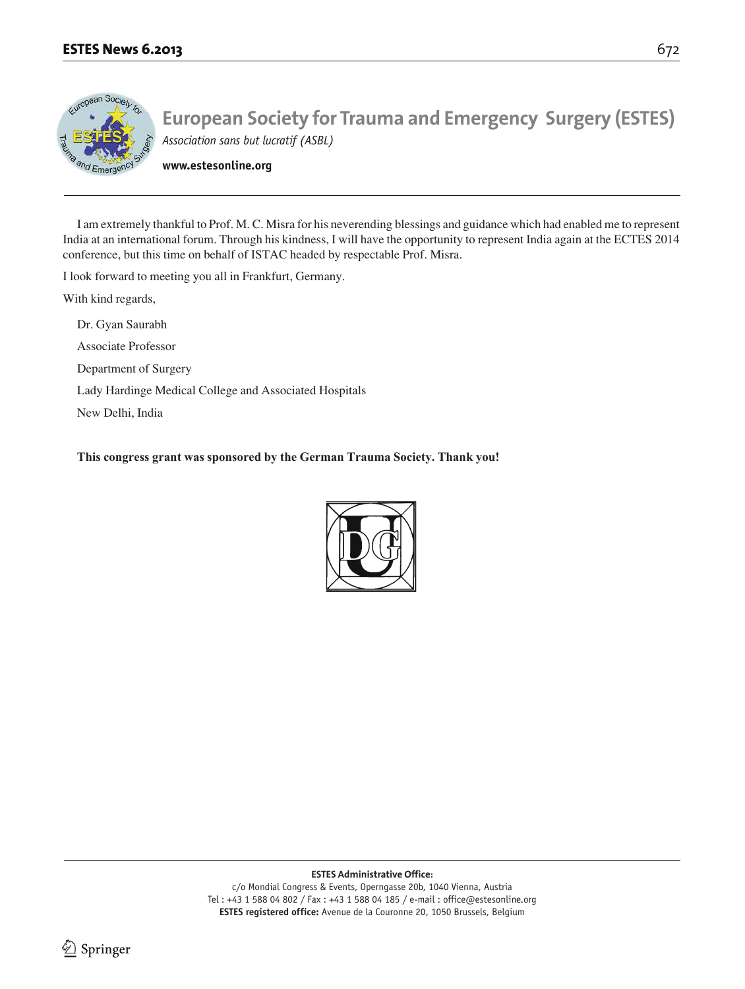

**www.estesonline.org**

I am extremely thankful to Prof. M. C. Misra for his neverending blessings and guidance which had enabled me to represent India at an international forum. Through his kindness, I will have the opportunity to represent India again at the ECTES 2014 conference, but this time on behalf of ISTAC headed by respectable Prof. Misra.

I look forward to meeting you all in Frankfurt, Germany.

With kind regards,

Dr. Gyan Saurabh

Associate Professor

Department of Surgery

Lady Hardinge Medical College and Associated Hospitals

New Delhi, India

**This congress grant was sponsored by the German Trauma Society. Thank you!**



**ESTES Administrative Office:**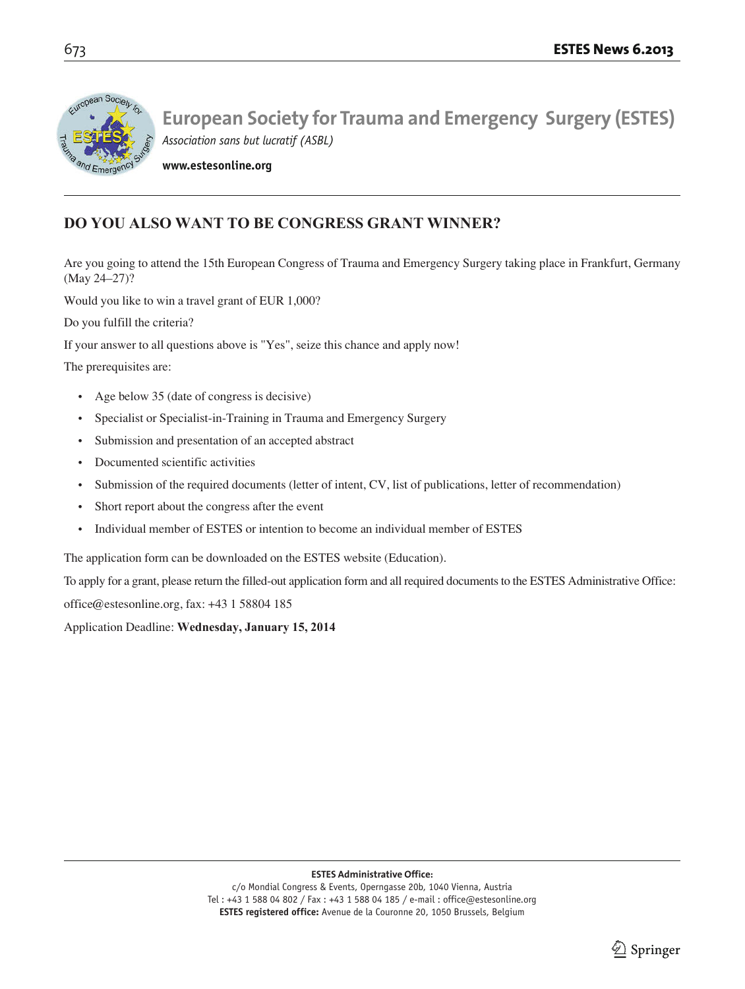

**www.estesonline.org**

# **DO YOU ALSO WANT TO BE CONGRESS GRANT WINNER?**

Are you going to attend the 15th European Congress of Trauma and Emergency Surgery taking place in Frankfurt, Germany (May 24–27)?

Would you like to win a travel grant of EUR 1,000?

Do you fulfill the criteria?

If your answer to all questions above is "Yes", seize this chance and apply now!

The prerequisites are:

- Age below 35 (date of congress is decisive)
- Specialist or Specialist-in-Training in Trauma and Emergency Surgery
- Submission and presentation of an accepted abstract
- Documented scientific activities
- Submission of the required documents (letter of intent, CV, list of publications, letter of recommendation)
- Short report about the congress after the event
- Individual member of ESTES or intention to become an individual member of ESTES

The application form can be downloaded on the ESTES website (Education).

To apply for a grant, please return the filled-out application form and all required documents to the ESTES Administrative Office: office@estesonline.org, fax: +43 1 58804 185

Application Deadline: **Wednesday, January 15, 2014** 

**ESTES Administrative Office:**

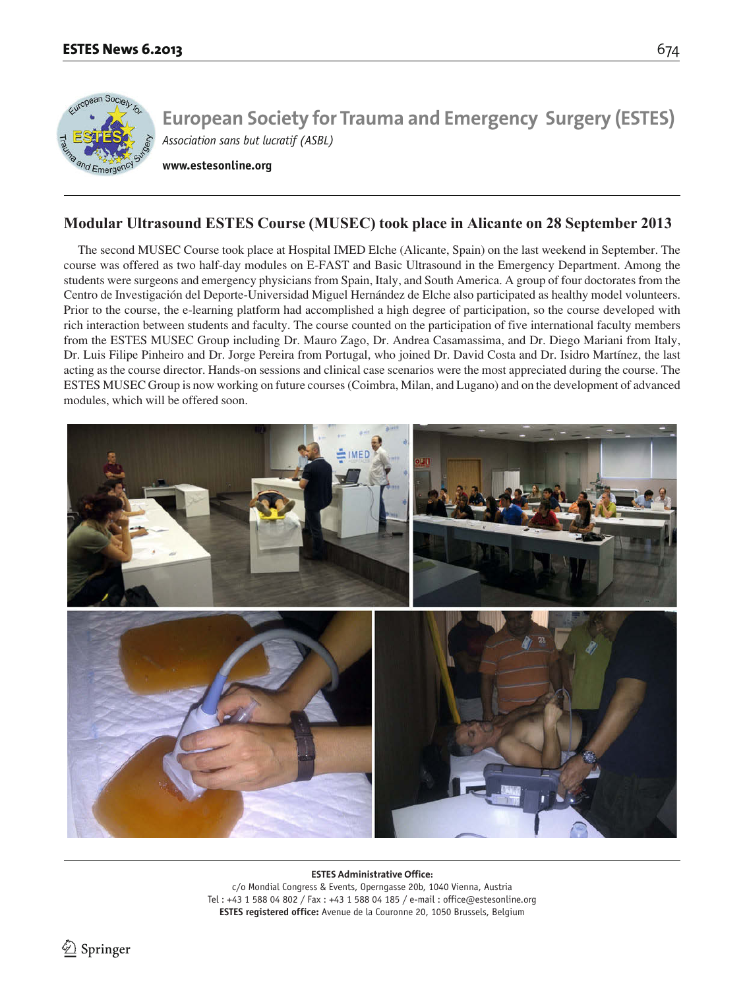

**www.estesonline.org**

# **Modular Ultrasound ESTES Course (MUSEC) took place in Alicante on 28 September 2013**

The second MUSEC Course took place at Hospital IMED Elche (Alicante, Spain) on the last weekend in September. The course was offered as two half-day modules on E-FAST and Basic Ultrasound in the Emergency Department. Among the students were surgeons and emergency physicians from Spain, Italy, and South America. A group of four doctorates from the Centro de Investigación del Deporte-Universidad Miguel Hernández de Elche also participated as healthy model volunteers. Prior to the course, the e-learning platform had accomplished a high degree of participation, so the course developed with rich interaction between students and faculty. The course counted on the participation of five international faculty members from the ESTES MUSEC Group including Dr. Mauro Zago, Dr. Andrea Casamassima, and Dr. Diego Mariani from Italy, Dr. Luis Filipe Pinheiro and Dr. Jorge Pereira from Portugal, who joined Dr. David Costa and Dr. Isidro Martínez, the last acting as the course director. Hands-on sessions and clinical case scenarios were the most appreciated during the course. The ESTES MUSEC Group is now working on future courses (Coimbra, Milan, and Lugano) and on the development of advanced modules, which will be offered soon.

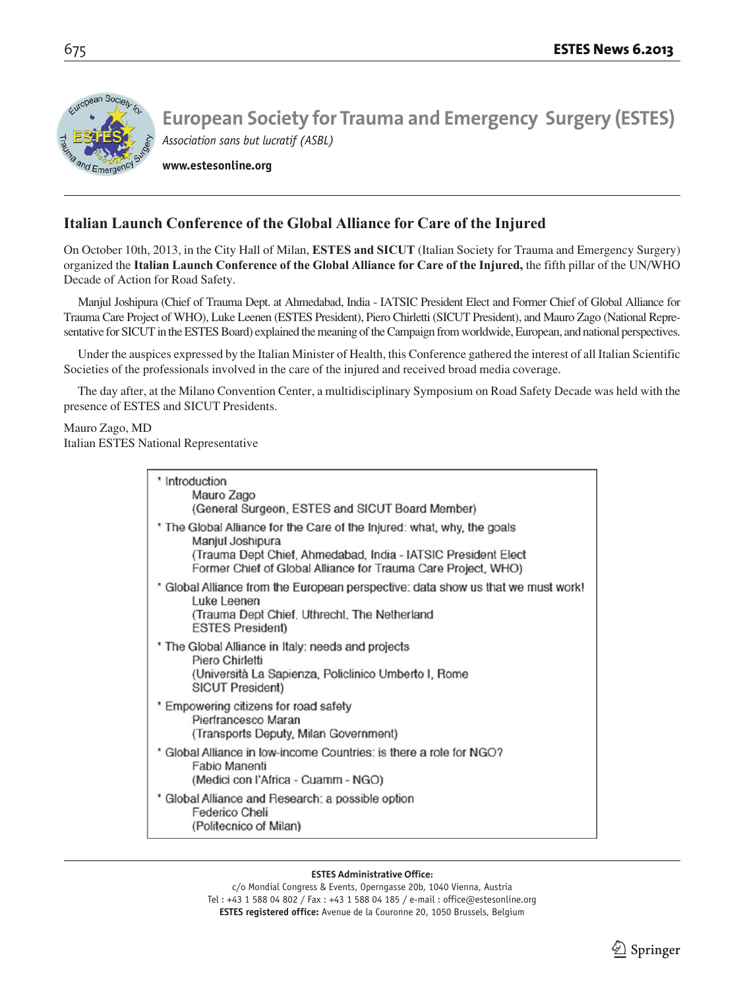

**www.estesonline.org**

# **Italian Launch Conference of the Global Alliance for Care of the Injured**

On October 10th, 2013, in the City Hall of Milan, **ESTES and SICUT** (Italian Society for Trauma and Emergency Surgery) organized the **Italian Launch Conference of the Global Alliance for Care of the Injured,** the fifth pillar of the UN/WHO Decade of Action for Road Safety.

Manjul Joshipura (Chief of Trauma Dept. at Ahmedabad, India - IATSIC President Elect and Former Chief of Global Alliance for Trauma Care Project of WHO), Luke Leenen (ESTES President), Piero Chirletti (SICUT President), and Mauro Zago (National Representative for SICUT in the ESTES Board) explained the meaning of the Campaign from worldwide, European, and national perspectives.

Under the auspices expressed by the Italian Minister of Health, this Conference gathered the interest of all Italian Scientific Societies of the professionals involved in the care of the injured and received broad media coverage.

The day after, at the Milano Convention Center, a multidisciplinary Symposium on Road Safety Decade was held with the presence of ESTES and SICUT Presidents.

Mauro Zago, MD Italian ESTES National Representative

| * Introduction<br>Mauro Zago<br>(General Surgeon, ESTES and SICUT Board Member)                                                                                                                                               |
|-------------------------------------------------------------------------------------------------------------------------------------------------------------------------------------------------------------------------------|
| * The Global Alliance for the Care of the Injured: what, why, the goals<br>Manjul Joshipura<br>(Trauma Dept Chief, Ahmedabad, India - IATSIC President Elect<br>Former Chief of Global Alliance for Trauma Care Project, WHO) |
| * Global Alliance from the European perspective: data show us that we must work!<br>Luke Leenen<br>(Trauma Dept Chief, Uthrecht, The Netherland<br><b>ESTES President)</b>                                                    |
| * The Global Alliance in Italy: needs and projects<br>Piero Chirletti<br>(Università La Sapienza, Policlinico Umberto I, Rome<br><b>SICUT President)</b>                                                                      |
| * Empowering citizens for road safety<br>Pierfrancesco Maran<br>(Transports Deputy, Milan Government)                                                                                                                         |
| * Global Alliance in low-income Countries: is there a role for NGO?<br>Fabio Manenti<br>(Medici con l'Africa - Cuamm - NGO)                                                                                                   |
| * Global Alliance and Research: a possible option<br>Federico Cheli<br>(Politecnico of Milan)                                                                                                                                 |

#### **ESTES Administrative Office:**

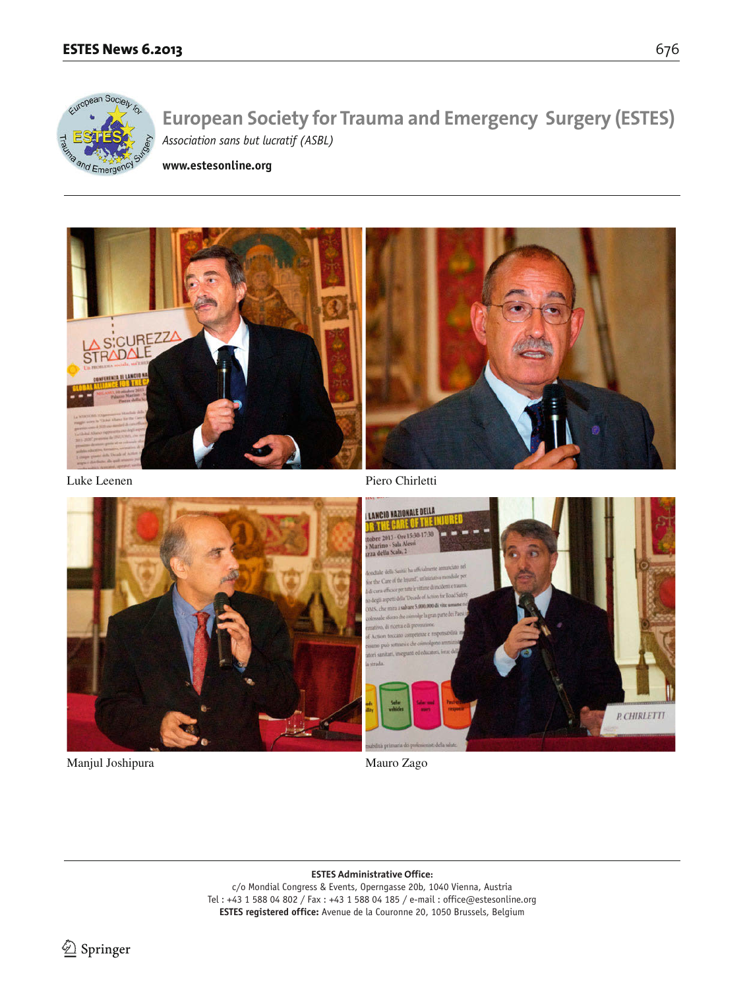

**www.estesonline.org**



Manjul Joshipura Mauro Zago

**ESTES Administrative Office:**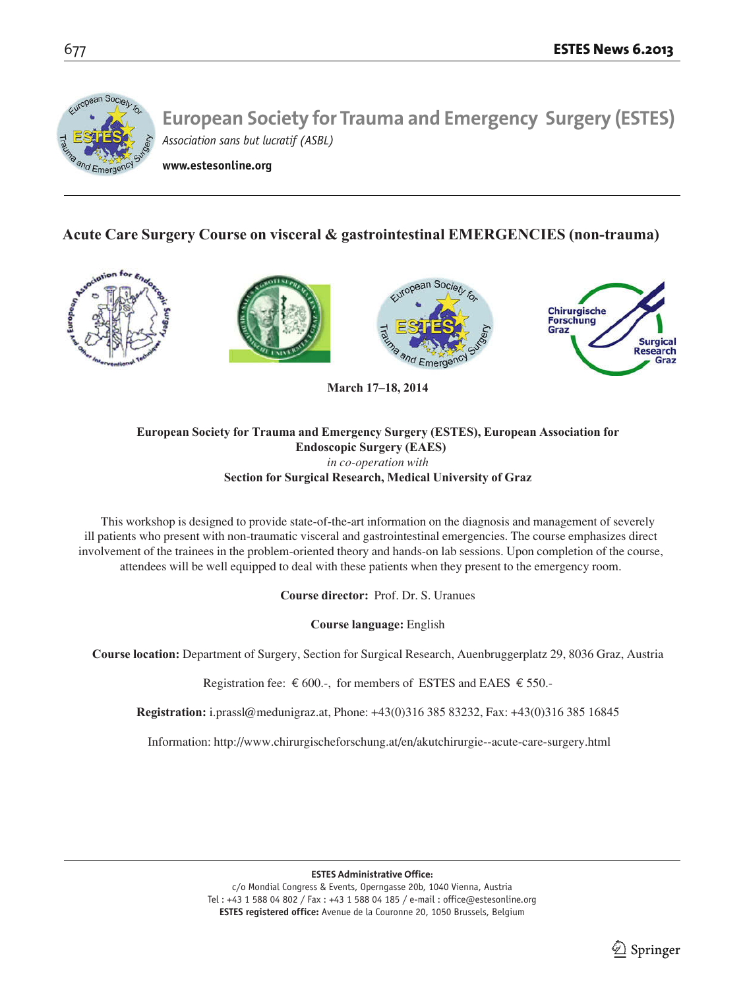

**www.estesonline.org**

# **Acute Care Surgery Course on visceral & gastrointestinal EMERGENCIES (non-trauma)**









**March 17–18, 2014**

#### **European Society for Trauma and Emergency Surgery (ESTES), European Association for Endoscopic Surgery (EAES)** *in co-operation with* **Section for Surgical Research, Medical University of Graz**

This workshop is designed to provide state-of-the-art information on the diagnosis and management of severely ill patients who present with non-traumatic visceral and gastrointestinal emergencies. The course emphasizes direct involvement of the trainees in the problem-oriented theory and hands-on lab sessions. Upon completion of the course, attendees will be well equipped to deal with these patients when they present to the emergency room.

**Course director:** Prof. Dr. S. Uranues

**Course language:** English

**Course location:** Department of Surgery, Section for Surgical Research, Auenbruggerplatz 29, 8036 Graz, Austria

Registration fee:  $\epsilon$  600.-, for members of ESTES and EAES  $\epsilon$  550.-

**Registration:** i.prassl@medunigraz.at, Phone: +43(0)316 385 83232, Fax: +43(0)316 385 16845

Information: http://www.chirurgischeforschung.at/en/akutchirurgie--acute-care-surgery.html

**ESTES Administrative Office:**